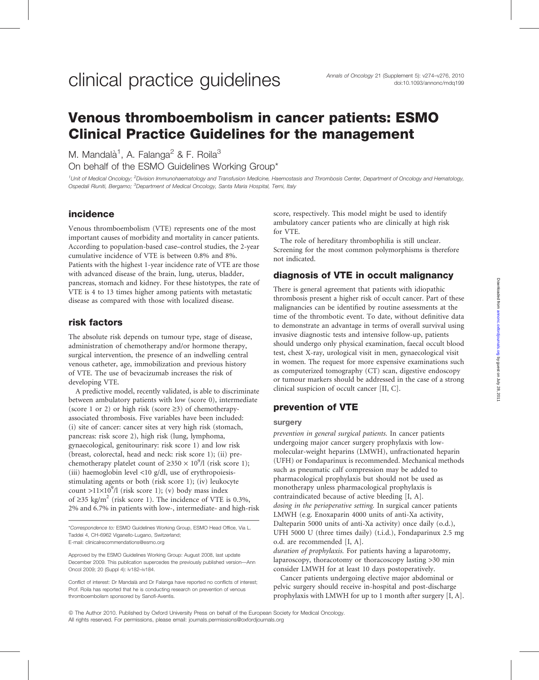# Venous thromboembolism in cancer patients: ESMO Clinical Practice Guidelines for the management

M. Mandalà<sup>1</sup>, A. Falanga<sup>2</sup> & F. Roila<sup>3</sup> On behalf of the ESMO Guidelines Working Group\*

<sup>1</sup>Unit of Medical Oncology; <sup>2</sup>Division Immunohaematology and Transfusion Medicine, Haemostasis and Thrombosis Center, Department of Oncology and Hematology, Ospedali Riuniti, Bergamo; <sup>3</sup>Department of Medical Oncology, Santa Maria Hospital, Terni, Italy

# incidence

Venous thromboembolism (VTE) represents one of the most important causes of morbidity and mortality in cancer patients. According to population-based case–control studies, the 2-year cumulative incidence of VTE is between 0.8% and 8%. Patients with the highest 1-year incidence rate of VTE are those with advanced disease of the brain, lung, uterus, bladder, pancreas, stomach and kidney. For these histotypes, the rate of VTE is 4 to 13 times higher among patients with metastatic disease as compared with those with localized disease.

# risk factors

The absolute risk depends on tumour type, stage of disease, administration of chemotherapy and/or hormone therapy, surgical intervention, the presence of an indwelling central venous catheter, age, immobilization and previous history of VTE. The use of bevacizumab increases the risk of developing VTE.

A predictive model, recently validated, is able to discriminate between ambulatory patients with low (score 0), intermediate (score 1 or 2) or high risk (score  $\geq$ 3) of chemotherapyassociated thrombosis. Five variables have been included: (i) site of cancer: cancer sites at very high risk (stomach, pancreas: risk score 2), high risk (lung, lymphoma, gynaecological, genitourinary: risk score 1) and low risk (breast, colorectal, head and neck: risk score 1); (ii) prechemotherapy platelet count of  $\geq 350 \times 10^9$ /l (risk score 1); (iii) haemoglobin level <10 g/dl, use of erythropoiesisstimulating agents or both (risk score 1); (iv) leukocyte count >11×10<sup>9</sup>/l (risk score 1); (v) body mass index of  $\geq$ 35 kg/m<sup>2</sup> (risk score 1). The incidence of VTE is 0.3%, 2% and 6.7% in patients with low-, intermediate- and high-risk

\*Correspondence to: ESMO Guidelines Working Group, ESMO Head Office, Via L. Taddei 4, CH-6962 Viganello-Lugano, Switzerland; E-mail: clinicalrecommendations@esmo.org

Approved by the ESMO Guidelines Working Group: August 2008, last update December 2009. This publication supercedes the previously published version—Ann Oncol 2009; 20 (Suppl 4): iv182–iv184.

Conflict of interest: Dr Mandalà and Dr Falanga have reported no conflicts of interest; Prof. Roila has reported that he is conducting research on prevention of venous thromboembolism sponsored by Sanofi-Aventis.

score, respectively. This model might be used to identify ambulatory cancer patients who are clinically at high risk for VTE.

The role of hereditary thrombophilia is still unclear. Screening for the most common polymorphisms is therefore not indicated.

# diagnosis of VTE in occult malignancy

There is general agreement that patients with idiopathic thrombosis present a higher risk of occult cancer. Part of these malignancies can be identified by routine assessments at the time of the thrombotic event. To date, without definitive data to demonstrate an advantage in terms of overall survival using invasive diagnostic tests and intensive follow-up, patients should undergo only physical examination, faecal occult blood test, chest X-ray, urological visit in men, gynaecological visit in women. The request for more expensive examinations such as computerized tomography (CT) scan, digestive endoscopy or tumour markers should be addressed in the case of a strong clinical suspicion of occult cancer [II, C].

# prevention of VTE

#### surgery

prevention in general surgical patients. In cancer patients undergoing major cancer surgery prophylaxis with lowmolecular-weight heparins (LMWH), unfractionated heparin (UFH) or Fondaparinux is recommended. Mechanical methods such as pneumatic calf compression may be added to pharmacological prophylaxis but should not be used as monotherapy unless pharmacological prophylaxis is contraindicated because of active bleeding [I, A]. dosing in the perioperative setting. In surgical cancer patients LMWH (e.g. Enoxaparin 4000 units of anti-Xa activity, Dalteparin 5000 units of anti-Xa activity) once daily (o.d.), UFH 5000 U (three times daily) (t.i.d.), Fondaparinux 2.5 mg o.d. are recommended [I, A].

duration of prophylaxis. For patients having a laparotomy, laparoscopy, thoracotomy or thoracoscopy lasting >30 min consider LMWH for at least 10 days postoperatively.

Cancer patients undergoing elective major abdominal or pelvic surgery should receive in-hospital and post-discharge prophylaxis with LMWH for up to 1 month after surgery [I, A].

*ª* The Author 2010. Published by Oxford University Press on behalf of the European Society for Medical Oncology. All rights reserved. For permissions, please email: journals.permissions@oxfordjournals.org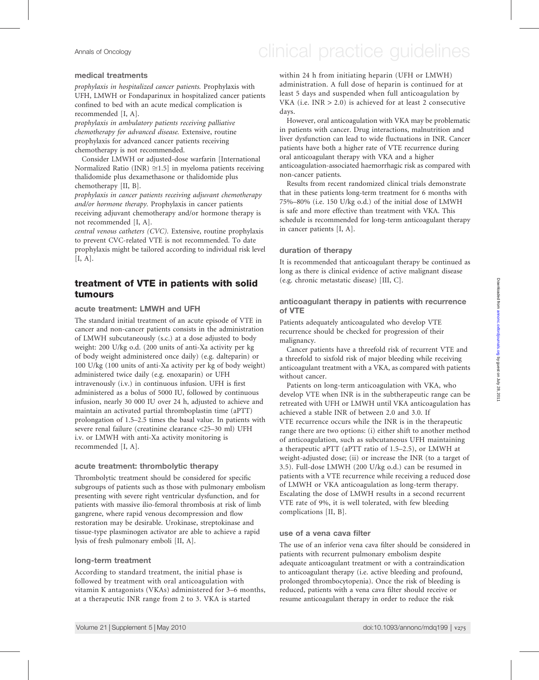# Annals of Oncology **Annals of Oncology** clinical practice guidelines

#### medical treatments

prophylaxis in hospitalized cancer patients. Prophylaxis with UFH, LMWH or Fondaparinux in hospitalized cancer patients confined to bed with an acute medical complication is recommended [I, A].

prophylaxis in ambulatory patients receiving palliative chemotherapy for advanced disease. Extensive, routine prophylaxis for advanced cancer patients receiving chemotherapy is not recommended.

Consider LMWH or adjusted-dose warfarin [International Normalized Ratio (INR)  $\cong$ 1.5] in myeloma patients receiving thalidomide plus dexamethasone or thalidomide plus chemotherapy [II, B].

prophylaxis in cancer patients receiving adjuvant chemotherapy and/or hormone therapy. Prophylaxis in cancer patients receiving adjuvant chemotherapy and/or hormone therapy is not recommended [I, A].

central venous catheters (CVC). Extensive, routine prophylaxis to prevent CVC-related VTE is not recommended. To date prophylaxis might be tailored according to individual risk level  $[I, A]$ .

# treatment of VTE in patients with solid tumours

#### acute treatment: LMWH and UFH

The standard initial treatment of an acute episode of VTE in cancer and non-cancer patients consists in the administration of LMWH subcutaneously (s.c.) at a dose adjusted to body weight: 200 U/kg o.d. (200 units of anti-Xa activity per kg of body weight administered once daily) (e.g. dalteparin) or 100 U/kg (100 units of anti-Xa activity per kg of body weight) administered twice daily (e.g. enoxaparin) or UFH intravenously (i.v.) in continuous infusion. UFH is first administered as a bolus of 5000 IU, followed by continuous infusion, nearly 30 000 IU over 24 h, adjusted to achieve and maintain an activated partial thromboplastin time (aPTT) prolongation of 1.5–2.5 times the basal value. In patients with severe renal failure (creatinine clearance <25–30 ml) UFH i.v. or LMWH with anti-Xa activity monitoring is recommended [I, A].

#### acute treatment: thrombolytic therapy

Thrombolytic treatment should be considered for specific subgroups of patients such as those with pulmonary embolism presenting with severe right ventricular dysfunction, and for patients with massive ilio-femoral thrombosis at risk of limb gangrene, where rapid venous decompression and flow restoration may be desirable. Urokinase, streptokinase and tissue-type plasminogen activator are able to achieve a rapid lysis of fresh pulmonary emboli [II, A].

#### long-term treatment

According to standard treatment, the initial phase is followed by treatment with oral anticoagulation with vitamin K antagonists (VKAs) administered for 3–6 months, at a therapeutic INR range from 2 to 3. VKA is started

within 24 h from initiating heparin (UFH or LMWH) administration. A full dose of heparin is continued for at least 5 days and suspended when full anticoagulation by VKA (i.e.  $INR > 2.0$ ) is achieved for at least 2 consecutive days.

However, oral anticoagulation with VKA may be problematic in patients with cancer. Drug interactions, malnutrition and liver dysfunction can lead to wide fluctuations in INR. Cancer patients have both a higher rate of VTE recurrence during oral anticoagulant therapy with VKA and a higher anticoagulation-associated haemorrhagic risk as compared with non-cancer patients.

Results from recent randomized clinical trials demonstrate that in these patients long-term treatment for 6 months with 75%–80% (i.e. 150 U/kg o.d.) of the initial dose of LMWH is safe and more effective than treatment with VKA. This schedule is recommended for long-term anticoagulant therapy in cancer patients [I, A].

#### duration of therapy

It is recommended that anticoagulant therapy be continued as long as there is clinical evidence of active malignant disease (e.g. chronic metastatic disease) [III, C].

#### anticoagulant therapy in patients with recurrence of VTE

Patients adequately anticoagulated who develop VTE recurrence should be checked for progression of their malignancy.

Cancer patients have a threefold risk of recurrent VTE and a threefold to sixfold risk of major bleeding while receiving anticoagulant treatment with a VKA, as compared with patients without cancer.

Patients on long-term anticoagulation with VKA, who develop VTE when INR is in the subtherapeutic range can be retreated with UFH or LMWH until VKA anticoagulation has achieved a stable INR of between 2.0 and 3.0. If VTE recurrence occurs while the INR is in the therapeutic range there are two options: (i) either shift to another method of anticoagulation, such as subcutaneous UFH maintaining a therapeutic aPTT (aPTT ratio of 1.5–2.5), or LMWH at weight-adjusted dose; (ii) or increase the INR (to a target of 3.5). Full-dose LMWH (200 U/kg o.d.) can be resumed in patients with a VTE recurrence while receiving a reduced dose of LMWH or VKA anticoagulation as long-term therapy. Escalating the dose of LMWH results in a second recurrent VTE rate of 9%, it is well tolerated, with few bleeding complications [II, B].

#### use of a vena cava filter

The use of an inferior vena cava filter should be considered in patients with recurrent pulmonary embolism despite adequate anticoagulant treatment or with a contraindication to anticoagulant therapy (i.e. active bleeding and profound, prolonged thrombocytopenia). Once the risk of bleeding is reduced, patients with a vena cava filter should receive or resume anticoagulant therapy in order to reduce the risk